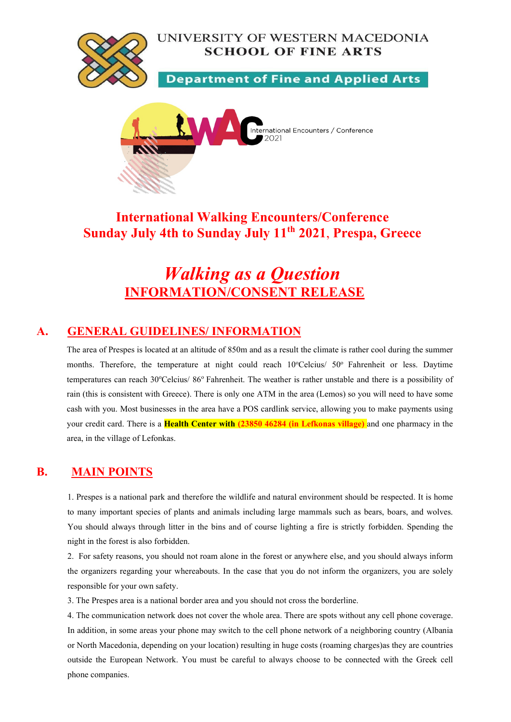



## International Walking Encounters/Conference Sunday July 4th to Sunday July 11<sup>th</sup> 2021, Prespa, Greece

# Walking as a Question INFORMATION/CONSENT RELEASE

#### A. GENERAL GUIDELINES/ INFORMATION

The area of Prespes is located at an altitude of 850m and as a result the climate is rather cool during the summer months. Therefore, the temperature at night could reach 10°Celcius/ 50° Fahrenheit or less. Daytime temperatures can reach 30°Celcius/ 86° Fahrenheit. The weather is rather unstable and there is a possibility of rain (this is consistent with Greece). There is only one ATM in the area (Lemos) so you will need to have some cash with you. Most businesses in the area have a POS cardlink service, allowing you to make payments using your credit card. There is a Health Center with (23850 46284 (in Lefkonas village) and one pharmacy in the area, in the village of Lefonkas.

#### B. MAIN POINTS

1. Prespes is a national park and therefore the wildlife and natural environment should be respected. It is home to many important species of plants and animals including large mammals such as bears, boars, and wolves. You should always through litter in the bins and of course lighting a fire is strictly forbidden. Spending the night in the forest is also forbidden.

2. For safety reasons, you should not roam alone in the forest or anywhere else, and you should always inform the organizers regarding your whereabouts. In the case that you do not inform the organizers, you are solely responsible for your own safety.

3. The Prespes area is a national border area and you should not cross the borderline.

4. The communication network does not cover the whole area. There are spots without any cell phone coverage. In addition, in some areas your phone may switch to the cell phone network of a neighboring country (Albania or North Macedonia, depending on your location) resulting in huge costs (roaming charges)as they are countries outside the European Network. You must be careful to always choose to be connected with the Greek cell phone companies.